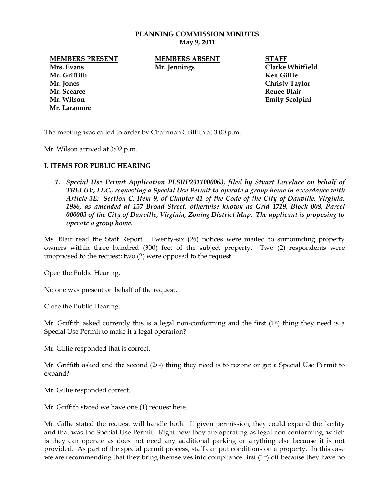#### **PLANNING COMMISSION MINUTES May 9, 2011**

**Mrs. Evans Mr. Jennings Clarke Whitfield Mr. Griffith Ken Gillie Mr. Jones Christy Taylor Mr. Scearce Renee Blair Mr. Wilson Emily Scolpini Mr. Laramore**

**MEMBERS PRESENT MEMBERS ABSENT STAFF**

The meeting was called to order by Chairman Griffith at 3:00 p.m.

Mr. Wilson arrived at 3:02 p.m.

#### **I. ITEMS FOR PUBLIC HEARING**

*1. Special Use Permit Application PLSUP2011000063, filed by Stuart Lovelace on behalf of TRELUV, LLC., requesting a Special Use Permit to operate a group home in accordance with Article 3E: Section C, Item 9, of Chapter 41 of the Code of the City of Danville, Virginia, 1986, as amended at 157 Broad Street, otherwise known as Grid 1719, Block 008, Parcel 000003 of the City of Danville, Virginia, Zoning District Map. The applicant is proposing to operate a group home.*

Ms. Blair read the Staff Report. Twenty-six (26) notices were mailed to surrounding property owners within three hundred (300) feet of the subject property. Two (2) respondents were unopposed to the request; two (2) were opposed to the request.

Open the Public Hearing.

No one was present on behalf of the request.

Close the Public Hearing.

Mr. Griffith asked currently this is a legal non-conforming and the first (1<sup>st</sup>) thing they need is a Special Use Permit to make it a legal operation?

Mr. Gillie responded that is correct.

Mr. Griffith asked and the second  $(2<sup>nd</sup>)$  thing they need is to rezone or get a Special Use Permit to expand?

Mr. Gillie responded correct.

Mr. Griffith stated we have one (1) request here.

Mr. Gillie stated the request will handle both. If given permission, they could expand the facility and that was the Special Use Permit. Right now they are operating as legal non-conforming, which is they can operate as does not need any additional parking or anything else because it is not provided. As part of the special permit process, staff can put conditions on a property. In this case we are recommending that they bring themselves into compliance first (1<sup>st</sup>) off because they have no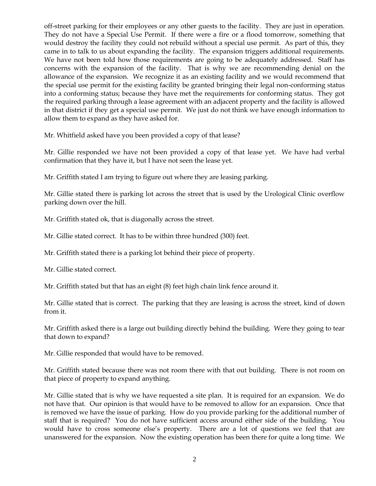off-street parking for their employees or any other guests to the facility. They are just in operation. They do not have a Special Use Permit. If there were a fire or a flood tomorrow, something that would destroy the facility they could not rebuild without a special use permit. As part of this, they came in to talk to us about expanding the facility. The expansion triggers additional requirements. We have not been told how those requirements are going to be adequately addressed. Staff has concerns with the expansion of the facility. That is why we are recommending denial on the allowance of the expansion. We recognize it as an existing facility and we would recommend that the special use permit for the existing facility be granted bringing their legal non-conforming status into a conforming status; because they have met the requirements for conforming status. They got the required parking through a lease agreement with an adjacent property and the facility is allowed in that district if they get a special use permit. We just do not think we have enough information to allow them to expand as they have asked for.

Mr. Whitfield asked have you been provided a copy of that lease?

Mr. Gillie responded we have not been provided a copy of that lease yet. We have had verbal confirmation that they have it, but I have not seen the lease yet.

Mr. Griffith stated I am trying to figure out where they are leasing parking.

Mr. Gillie stated there is parking lot across the street that is used by the Urological Clinic overflow parking down over the hill.

Mr. Griffith stated ok, that is diagonally across the street.

Mr. Gillie stated correct. It has to be within three hundred (300) feet.

Mr. Griffith stated there is a parking lot behind their piece of property.

Mr. Gillie stated correct.

Mr. Griffith stated but that has an eight (8) feet high chain link fence around it.

Mr. Gillie stated that is correct. The parking that they are leasing is across the street, kind of down from it.

Mr. Griffith asked there is a large out building directly behind the building. Were they going to tear that down to expand?

Mr. Gillie responded that would have to be removed.

Mr. Griffith stated because there was not room there with that out building. There is not room on that piece of property to expand anything.

Mr. Gillie stated that is why we have requested a site plan. It is required for an expansion. We do not have that. Our opinion is that would have to be removed to allow for an expansion. Once that is removed we have the issue of parking. How do you provide parking for the additional number of staff that is required? You do not have sufficient access around either side of the building. You would have to cross someone else's property. There are a lot of questions we feel that are unanswered for the expansion. Now the existing operation has been there for quite a long time. We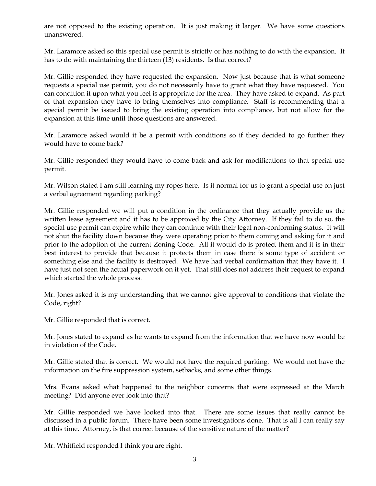are not opposed to the existing operation. It is just making it larger. We have some questions unanswered.

Mr. Laramore asked so this special use permit is strictly or has nothing to do with the expansion. It has to do with maintaining the thirteen (13) residents. Is that correct?

Mr. Gillie responded they have requested the expansion. Now just because that is what someone requests a special use permit, you do not necessarily have to grant what they have requested. You can condition it upon what you feel is appropriate for the area. They have asked to expand. As part of that expansion they have to bring themselves into compliance. Staff is recommending that a special permit be issued to bring the existing operation into compliance, but not allow for the expansion at this time until those questions are answered.

Mr. Laramore asked would it be a permit with conditions so if they decided to go further they would have to come back?

Mr. Gillie responded they would have to come back and ask for modifications to that special use permit.

Mr. Wilson stated I am still learning my ropes here. Is it normal for us to grant a special use on just a verbal agreement regarding parking?

Mr. Gillie responded we will put a condition in the ordinance that they actually provide us the written lease agreement and it has to be approved by the City Attorney. If they fail to do so, the special use permit can expire while they can continue with their legal non-conforming status. It will not shut the facility down because they were operating prior to them coming and asking for it and prior to the adoption of the current Zoning Code. All it would do is protect them and it is in their best interest to provide that because it protects them in case there is some type of accident or something else and the facility is destroyed. We have had verbal confirmation that they have it. I have just not seen the actual paperwork on it yet. That still does not address their request to expand which started the whole process.

Mr. Jones asked it is my understanding that we cannot give approval to conditions that violate the Code, right?

Mr. Gillie responded that is correct.

Mr. Jones stated to expand as he wants to expand from the information that we have now would be in violation of the Code.

Mr. Gillie stated that is correct. We would not have the required parking. We would not have the information on the fire suppression system, setbacks, and some other things.

Mrs. Evans asked what happened to the neighbor concerns that were expressed at the March meeting? Did anyone ever look into that?

Mr. Gillie responded we have looked into that. There are some issues that really cannot be discussed in a public forum. There have been some investigations done. That is all I can really say at this time. Attorney, is that correct because of the sensitive nature of the matter?

Mr. Whitfield responded I think you are right.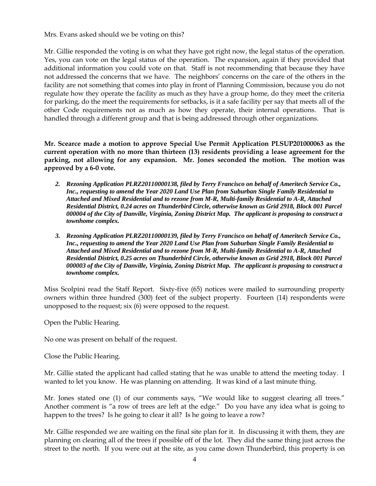Mrs. Evans asked should we be voting on this?

Mr. Gillie responded the voting is on what they have got right now, the legal status of the operation. Yes, you can vote on the legal status of the operation. The expansion, again if they provided that additional information you could vote on that. Staff is not recommending that because they have not addressed the concerns that we have. The neighbors' concerns on the care of the others in the facility are not something that comes into play in front of Planning Commission, because you do not regulate how they operate the facility as much as they have a group home, do they meet the criteria for parking, do the meet the requirements for setbacks, is it a safe facility per say that meets all of the other Code requirements not as much as how they operate, their internal operations. That is handled through a different group and that is being addressed through other organizations.

**Mr. Scearce made a motion to approve Special Use Permit Application PLSUP201000063 as the current operation with no more than thirteen (13) residents providing a lease agreement for the parking, not allowing for any expansion. Mr. Jones seconded the motion. The motion was approved by a 6-0 vote.** 

- *2. Rezoning Application PLRZ20110000138, filed by Terry Francisco on behalf of Ameritech Service Co., Inc., requesting to amend the Year 2020 Land Use Plan from Suburban Single Family Residential to Attached and Mixed Residential and to rezone from M-R, Multi-family Residential to A-R, Attached Residential District, 0.24 acres on Thunderbird Circle, otherwise known as Grid 2918, Block 001 Parcel 000004 of the City of Danville, Virginia, Zoning District Map. The applicant is proposing to construct a townhome complex.*
- *3. Rezoning Application PLRZ20110000139, filed by Terry Francisco on behalf of Ameritech Service Co., Inc., requesting to amend the Year 2020 Land Use Plan from Suburban Single Family Residential to Attached and Mixed Residential and to rezone from M-R, Multi-family Residential to A-R, Attached Residential District, 0.25 acres on Thunderbird Circle, otherwise known as Grid 2918, Block 001 Parcel 000003 of the City of Danville, Virginia, Zoning District Map. The applicant is proposing to construct a townhome complex.*

Miss Scolpini read the Staff Report. Sixty-five (65) notices were mailed to surrounding property owners within three hundred (300) feet of the subject property. Fourteen (14) respondents were unopposed to the request; six (6) were opposed to the request.

Open the Public Hearing.

No one was present on behalf of the request.

Close the Public Hearing.

Mr. Gillie stated the applicant had called stating that he was unable to attend the meeting today. I wanted to let you know. He was planning on attending. It was kind of a last minute thing.

Mr. Jones stated one (1) of our comments says, "We would like to suggest clearing all trees." Another comment is "a row of trees are left at the edge." Do you have any idea what is going to happen to the trees? Is he going to clear it all? Is he going to leave a row?

Mr. Gillie responded we are waiting on the final site plan for it. In discussing it with them, they are planning on clearing all of the trees if possible off of the lot. They did the same thing just across the street to the north. If you were out at the site, as you came down Thunderbird, this property is on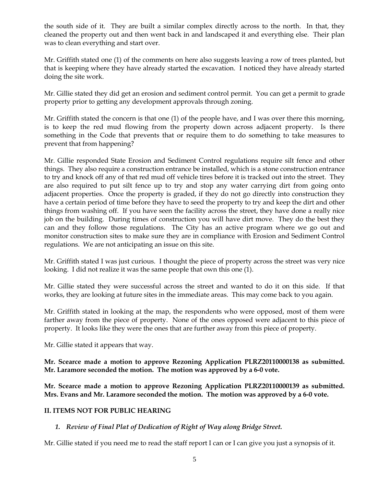the south side of it. They are built a similar complex directly across to the north. In that, they cleaned the property out and then went back in and landscaped it and everything else. Their plan was to clean everything and start over.

Mr. Griffith stated one (1) of the comments on here also suggests leaving a row of trees planted, but that is keeping where they have already started the excavation. I noticed they have already started doing the site work.

Mr. Gillie stated they did get an erosion and sediment control permit. You can get a permit to grade property prior to getting any development approvals through zoning.

Mr. Griffith stated the concern is that one (1) of the people have, and I was over there this morning, is to keep the red mud flowing from the property down across adjacent property. Is there something in the Code that prevents that or require them to do something to take measures to prevent that from happening?

Mr. Gillie responded State Erosion and Sediment Control regulations require silt fence and other things. They also require a construction entrance be installed, which is a stone construction entrance to try and knock off any of that red mud off vehicle tires before it is tracked out into the street. They are also required to put silt fence up to try and stop any water carrying dirt from going onto adjacent properties. Once the property is graded, if they do not go directly into construction they have a certain period of time before they have to seed the property to try and keep the dirt and other things from washing off. If you have seen the facility across the street, they have done a really nice job on the building. During times of construction you will have dirt move. They do the best they can and they follow those regulations. The City has an active program where we go out and monitor construction sites to make sure they are in compliance with Erosion and Sediment Control regulations. We are not anticipating an issue on this site.

Mr. Griffith stated I was just curious. I thought the piece of property across the street was very nice looking. I did not realize it was the same people that own this one (1).

Mr. Gillie stated they were successful across the street and wanted to do it on this side. If that works, they are looking at future sites in the immediate areas. This may come back to you again.

Mr. Griffith stated in looking at the map, the respondents who were opposed, most of them were farther away from the piece of property. None of the ones opposed were adjacent to this piece of property. It looks like they were the ones that are further away from this piece of property.

Mr. Gillie stated it appears that way.

**Mr. Scearce made a motion to approve Rezoning Application PLRZ20110000138 as submitted. Mr. Laramore seconded the motion. The motion was approved by a 6-0 vote.**

**Mr. Scearce made a motion to approve Rezoning Application PLRZ20110000139 as submitted. Mrs. Evans and Mr. Laramore seconded the motion. The motion was approved by a 6-0 vote.**

## **II. ITEMS NOT FOR PUBLIC HEARING**

## *1. Review of Final Plat of Dedication of Right of Way along Bridge Street.*

Mr. Gillie stated if you need me to read the staff report I can or I can give you just a synopsis of it.